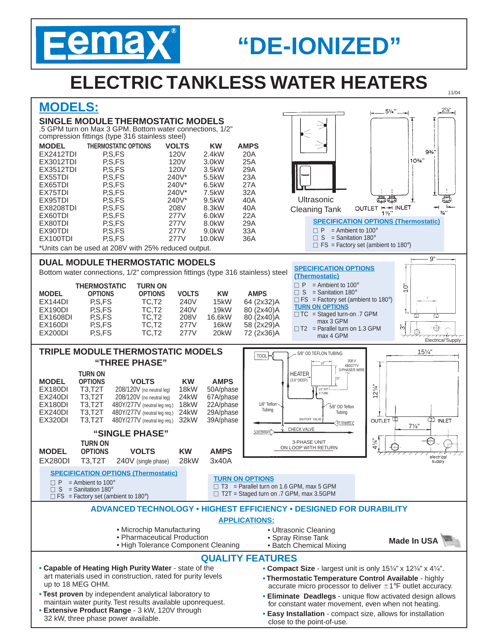

# **"DE-IONIZED"**

# **ELECTRIC TANKLESS WATER HEATERS**

## **MODELS:**

#### **SINGLE MODULE THERMOSTATIC MODELS**

.5 GPM turn on Max 3 GPM. Bottom water connections, 1/2" compression fittings (type 316 stainless steel)

| <b>MODEL</b>                                                                                     | THERMOSTATIC OPTIONS                                                           | <b>VOLTS</b>                   | <b>KW</b>   | <b>AMPS</b>           |                              |                                           |            |  |  |  |  |  |
|--------------------------------------------------------------------------------------------------|--------------------------------------------------------------------------------|--------------------------------|-------------|-----------------------|------------------------------|-------------------------------------------|------------|--|--|--|--|--|
| <b>EX2412TDI</b>                                                                                 | P.S.FS                                                                         | 120V                           | 2.4kW       | 20A                   |                              |                                           |            |  |  |  |  |  |
| <b>EX3012TDI</b>                                                                                 | P.S.FS                                                                         | 120V                           | $3.0$ k $W$ | 25A                   |                              |                                           | $10^{3/2}$ |  |  |  |  |  |
| <b>EX3512TDI</b>                                                                                 | P.S.FS                                                                         | 120V                           | 3.5kW       | 29A                   |                              |                                           |            |  |  |  |  |  |
| EX55TDI                                                                                          | P,S,FS                                                                         | 240V*                          | 5.5kW       | 23A                   |                              |                                           |            |  |  |  |  |  |
| EX65TDI                                                                                          | P.S.FS                                                                         | 240V*                          | 6.5kW       | 27A                   |                              |                                           |            |  |  |  |  |  |
| EX75TDI                                                                                          | P.S.FS                                                                         | 240V*                          | 7.5kW       | 32A                   |                              |                                           |            |  |  |  |  |  |
| EX95TDI                                                                                          | P.S.FS                                                                         | 240V*                          | 9.5kW       | 40A                   | Ultrasonic                   | 母母                                        |            |  |  |  |  |  |
| <b>EX8208TDI</b>                                                                                 | P.S.FS                                                                         | 208V                           | 8.3kW       | 40A                   | <b>Cleaning Tank</b>         | OUTLET HAH INLET                          |            |  |  |  |  |  |
| EX60TDI                                                                                          | P.S.FS                                                                         | 277V                           | 6.0kW       | 22A                   |                              | $1\frac{1}{2}$                            |            |  |  |  |  |  |
| EX80TDI                                                                                          | P.S.FS                                                                         | 277V                           | 8.0kW       | 29A                   |                              | <b>SPECIFICATION OPTIONS (Thermos</b>     |            |  |  |  |  |  |
| EX90TDI                                                                                          | P,S,FS                                                                         | 277V                           | 9.0kW       | 33A                   | P                            | $=$ Ambient to 100 $^{\circ}$             |            |  |  |  |  |  |
| EX100TDI                                                                                         | P.S.FS                                                                         | 277V                           | 10.0kW      | 36A                   | <sub>S</sub>                 | $=$ Sanitation 180 $^{\circ}$             |            |  |  |  |  |  |
| $\Box$ FS = Factory set (ambient to 180°)<br>*Units can be used at 208V with 25% reduced output. |                                                                                |                                |             |                       |                              |                                           |            |  |  |  |  |  |
|                                                                                                  | <b>DUAL MODULE THERMOSTATIC MODELS</b>                                         |                                |             |                       |                              |                                           |            |  |  |  |  |  |
|                                                                                                  | Bottom water connections, 1/2" compression fittings (type 316 stainless) steel |                                |             |                       | <b>SPECIFICATION OPTIONS</b> |                                           |            |  |  |  |  |  |
|                                                                                                  |                                                                                |                                |             | (Thermostatic)        |                              |                                           |            |  |  |  |  |  |
|                                                                                                  | <b>THERMOSTATIC</b>                                                            | <b>TURN ON</b>                 |             |                       | $\Box P$                     | $=$ Ambient to 100 $^{\circ}$             | ೆ          |  |  |  |  |  |
| <b>MODEL</b>                                                                                     | <b>OPTIONS</b>                                                                 | <b>VOLTS</b><br><b>OPTIONS</b> | <b>KW</b>   | <b>AMPS</b>           | S<br>П                       | $=$ Sanitation 180 $^{\circ}$             |            |  |  |  |  |  |
| EX144DI                                                                                          | P.S.FS                                                                         | TC.T <sub>2</sub><br>240V      | 15kW        | 64 (2x32)A            |                              | $\Box$ FS = Factory set (ambient to 180°) |            |  |  |  |  |  |
| EX190DI                                                                                          | P,S,FS                                                                         | TC,T <sub>2</sub><br>240V      | 19kW        | 80 (2x40)A            | <b>TURN ON OPTIONS</b>       |                                           |            |  |  |  |  |  |
| <b>EX1608DI</b>                                                                                  | P,S,FS                                                                         | TC.T <sub>2</sub><br>208V      | 16.6kW      | 80 (2x40)A            |                              | $\Box$ TC = Staged turn-on .7 GPM         | ₩          |  |  |  |  |  |
| EX160DI                                                                                          | P.S.FS                                                                         | TC.T <sub>2</sub><br>277V      | 16kW        | 58 (2x29)A            | max 3 GPM                    |                                           | సే         |  |  |  |  |  |
| EX200DI                                                                                          | P.S.FS                                                                         | TC.T2<br>277V                  | 20kW        | 72 (2x36)A            | max 4 GPM                    | $\Box$ T2 = Parallel turn on 1.3 GPM      |            |  |  |  |  |  |
|                                                                                                  |                                                                                |                                |             |                       |                              |                                           |            |  |  |  |  |  |
|                                                                                                  | <b>TRIPLE MODULE THERMOSTATIC MODELS</b>                                       |                                |             | 5/8" OD TEFLON TUBING |                              | 15                                        |            |  |  |  |  |  |
|                                                                                                  | "TUDEE DUACE"                                                                  |                                | <b>TOOL</b> |                       | 208 V                        |                                           |            |  |  |  |  |  |

**"THREE PHASE"** 15" 480/277V 3-PHASE/5 WIRE HEATER **TURN ON** (3.6" DEEP) **MODEL OPTIONS VOLTS KW AMPS** 12"  $12\frac{1}{4}$ " EX180DI T3,T2T 208/120V (no neutral leg) 18kW 50A/phase<br>EX240DI T3,T2T 208/120V (no neutral leg) 24kW 67A/phase 1/2" FPT X TUBE  $T3, T2T$  208/120V (no neutral leg) 24kW 67A/phase<br> $T3, T2T$  480Y/277V (neutral leg reg.) 18kW 22A/phase EX180DI T3,T2T 480Y/277V (neutral leg req.) 18kW 22A/phase 1/8" Teflon 5/8" OD Teflon **Tubing**  $480Y/277V$  (neutral leg req.) Tubing EX320DI T3,T2T 480Y/277V (neutral leg req.) 32kW 39A/phase **OUTLE** ωυ ετ SHUTOFF VALVE DI Supply  $\lt$  $7\frac{1}{4}$ " **DI Return F** CHECK VALVE **"SINGLE PHASE"** 3-PHASE UNIT **TURN ON**  $\frac{1}{4}$ ON LOOP WITH RETURN **MODEL OPTIONS VOLTS KW AMPS** electrica EX280DI T3,T2T 240V (single phase) 28kW 3x40A supply **SPECIFICATION OPTIONS (Thermostatic) TURN ON OPTIONS**  $\Box$  P = Ambient to 100°  $\Box$  T3 = Parallel turn on 1.6 GPM, max 5 GPM  $\Box$  S = Sanitation 180° □ T2T = Staged turn on .7 GPM, max 3.5GPM  $\Box$  FS = Factory set (ambient to 180°) **ADVANCED TECHNOLOGY • HIGHEST EFFICIENCY • DESIGNED FOR DURABILITY APPLICATIONS:** • Microchip Manufacturing • Ultrasonic Cleaning • Pharmaceutical Production • Spray Rinse Tank **Made In USA** • High Tolerance Component Cleaning • Batch Chemical Mixing **QUALITY FEATURES • Capable of Heating High Purity Water** - state of the • **Compact Size** - largest unit is only 151⁄4" x 121⁄4" x 41⁄4". art materials used in construction, rated for purity levels **• Thermostatic Temperature Control Available** - highly up to 18 MEG OHM. accurate micro processor to deliver  $\pm 1$ °F outlet accuracy. **• Test proven** by independent analytical laboratory to

maintain water purity. Test results available uponrequest. **• Extensive Product Range** - 3 kW, 120V through

32 kW, three phase power available.

**• Eliminate Deadlegs** - unique flow activated design allows for constant water movement, even when not heating.

tatic)

 $3/4$ 

 $9<sub>3</sub>$ 

- 9"

Electrical<sup>/</sup>Supply

苉 ⊣⊜

1/4'

11/04

 $2\frac{7}{8}$ "

 $.5\%$ ".

**• Easy Installation** - compact size, allows for installation close to the point-of-use.